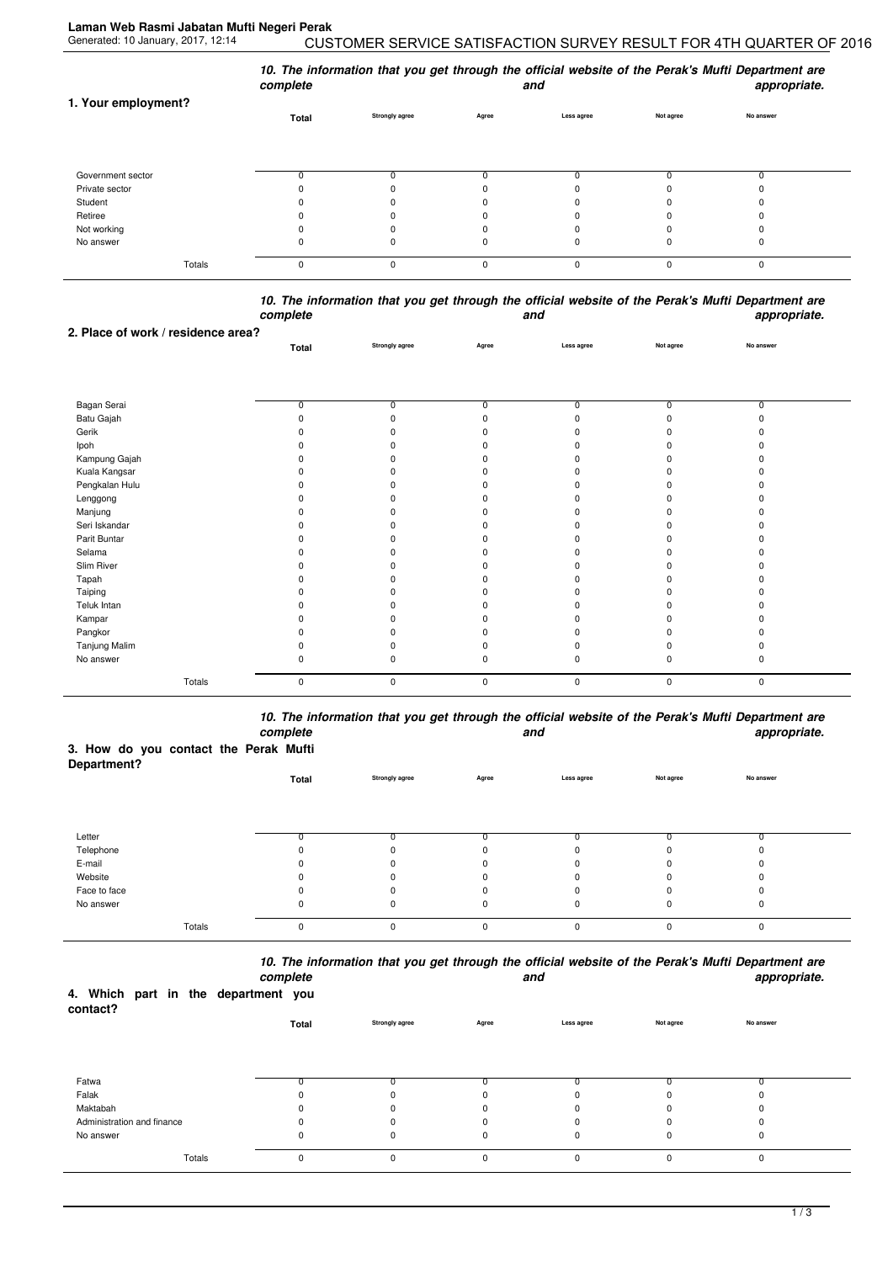| 1. Your employment?       | complete | 10. The information that you get through the official website of the Perak's Mufti Department are<br>appropriate.<br>and |          |            |           |           |  |
|---------------------------|----------|--------------------------------------------------------------------------------------------------------------------------|----------|------------|-----------|-----------|--|
|                           | Total    | <b>Strongly agree</b>                                                                                                    | Agree    | Less agree | Not agree | No answer |  |
| Government sector         |          |                                                                                                                          |          | υ          |           |           |  |
| Private sector<br>Student |          |                                                                                                                          |          |            |           |           |  |
| Retiree                   |          |                                                                                                                          |          |            |           |           |  |
| Not working<br>No answer  |          |                                                                                                                          |          | 0<br>0     | 0<br>0    | 0         |  |
| Totals                    | $\Omega$ | $\Omega$                                                                                                                 | $\Omega$ | 0          | 0         | 0         |  |

*10. The information that you get through the official website of the Perak's Mufti Department are complete and appropriate.*

| 2. Place of work / residence area? |                |                       |                |                |                |                |  |
|------------------------------------|----------------|-----------------------|----------------|----------------|----------------|----------------|--|
|                                    | Total          | <b>Strongly agree</b> | Agree          | Less agree     | Not agree      | No answer      |  |
|                                    |                |                       |                |                |                |                |  |
|                                    |                |                       |                |                |                |                |  |
| Bagan Serai                        | $\overline{0}$ | $\overline{0}$        | $\overline{0}$ | $\overline{0}$ | $\overline{0}$ | $\overline{0}$ |  |
| Batu Gajah                         |                | 0                     |                |                |                |                |  |
| Gerik                              |                | ŋ                     |                |                |                |                |  |
| Ipoh                               |                | ŋ                     |                |                |                |                |  |
| Kampung Gajah                      |                | ŋ                     |                |                |                |                |  |
| Kuala Kangsar                      |                | ŋ                     |                |                |                |                |  |
| Pengkalan Hulu                     |                | 0                     |                |                |                |                |  |
| Lenggong                           |                | ŋ                     |                |                |                |                |  |
| Manjung                            |                | ŋ                     |                |                |                |                |  |
| Seri Iskandar                      |                | ŋ                     |                |                |                |                |  |
| Parit Buntar                       |                | 0                     |                |                |                |                |  |
| Selama                             |                | ŋ                     |                |                |                |                |  |
| Slim River                         |                | 0                     |                |                |                |                |  |
| Tapah                              |                | ŋ                     |                |                |                |                |  |
| Taiping                            |                | O.                    |                |                |                |                |  |
| Teluk Intan                        |                | ŋ                     |                |                |                |                |  |
| Kampar                             |                | 0                     |                |                |                |                |  |
| Pangkor                            |                | ŋ                     |                |                |                |                |  |
| Tanjung Malim                      |                | 0                     |                |                |                |                |  |
| No answer                          | ŋ              | 0                     | 0              | n              | 0              | 0              |  |
|                                    |                |                       |                |                |                |                |  |
| Totals                             | $\mathbf 0$    | 0                     | 0              | $\pmb{0}$      | 0              | 0              |  |

*10. The information that you get through the official website of the Perak's Mufti Department are complete and appropriate.*

## **3. How do you contact the Perak Mufti**

| Department?  |             |                       |              |            |           |           |  |
|--------------|-------------|-----------------------|--------------|------------|-----------|-----------|--|
|              | Total       | <b>Strongly agree</b> | Agree        | Less agree | Not agree | No answer |  |
|              |             |                       |              |            |           |           |  |
|              |             |                       |              |            |           |           |  |
|              |             |                       |              |            |           |           |  |
| Letter       |             |                       |              |            |           |           |  |
| Telephone    |             | 0                     |              |            |           |           |  |
| E-mail       | n           | 0                     | <sup>0</sup> |            |           |           |  |
| Website      | 0           | 0                     | ŋ            |            | n         | 0         |  |
| Face to face |             | 0                     |              |            |           |           |  |
| No answer    | 0           | 0                     | 0            | 0          | 0         | 0         |  |
| Totals       | $\mathbf 0$ | $\Omega$              | $\Omega$     | $\Omega$   | $\Omega$  | 0         |  |
|              |             |                       |              |            |           |           |  |

*10. The information that you get through the official website of the Perak's Mufti Department are*

| 4. Which part in the department you<br>contact? |        | complete    |                       |             | and        |           | appropriate. |  |
|-------------------------------------------------|--------|-------------|-----------------------|-------------|------------|-----------|--------------|--|
|                                                 |        | Total       | <b>Strongly agree</b> | Agree       | Less agree | Not agree | No answer    |  |
|                                                 |        |             |                       |             |            |           |              |  |
| Fatwa                                           |        |             |                       |             |            |           |              |  |
| Falak                                           |        |             |                       | 0           |            |           |              |  |
| Maktabah                                        |        |             |                       | 0           |            |           |              |  |
| Administration and finance                      |        |             | ŋ                     |             |            |           |              |  |
| No answer                                       |        |             | 0                     | 0           | 0          | 0         | 0            |  |
|                                                 | Totals | $\mathbf 0$ | 0                     | $\mathbf 0$ | 0          | $\Omega$  | $\mathbf 0$  |  |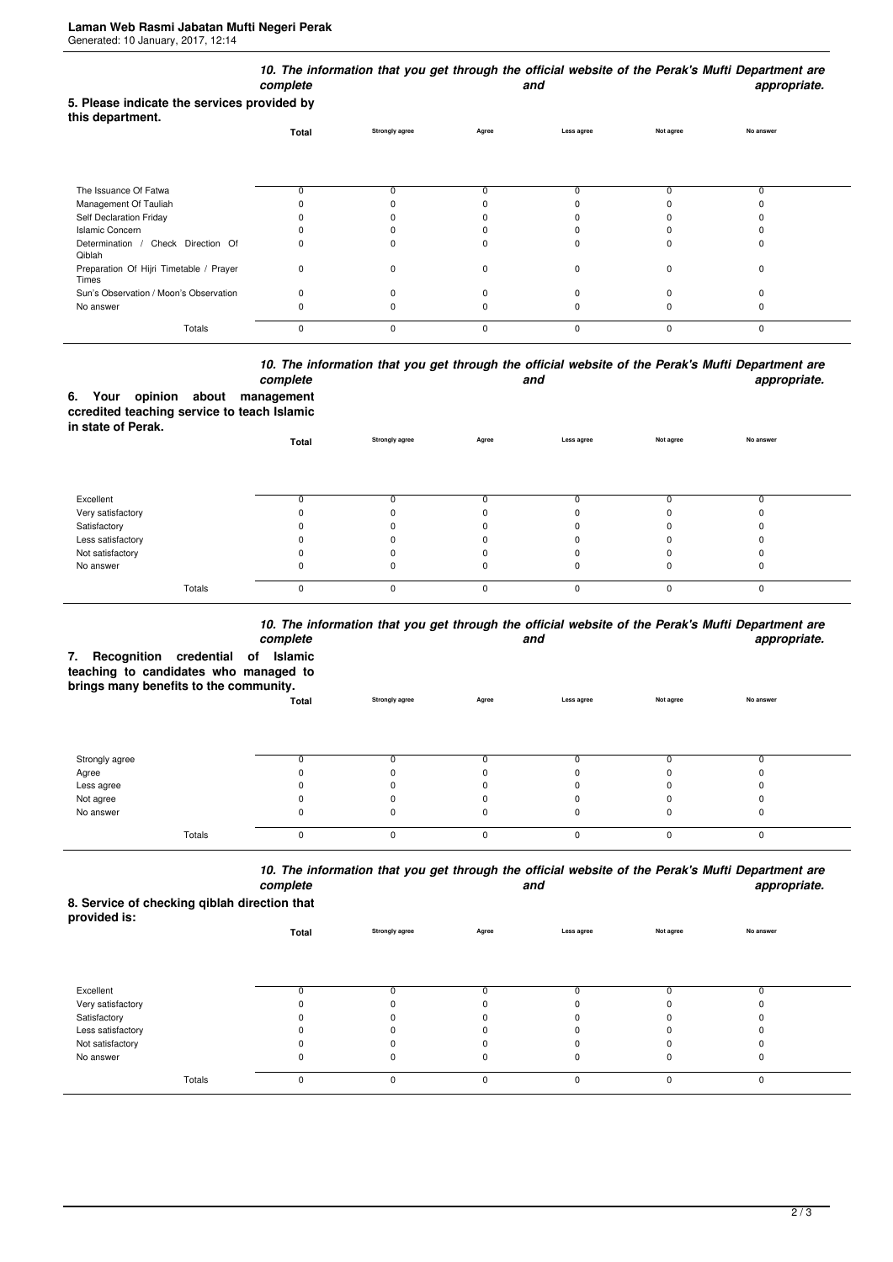|                                                                 | complete    |                       |             | and          |             | 10. The information that you get through the official website of the Perak's Mufti Department are<br>appropriate. |  |
|-----------------------------------------------------------------|-------------|-----------------------|-------------|--------------|-------------|-------------------------------------------------------------------------------------------------------------------|--|
| 5. Please indicate the services provided by<br>this department. |             |                       |             |              |             |                                                                                                                   |  |
|                                                                 | Total       | <b>Strongly agree</b> | Agree       | Less agree   | Not agree   | No answer                                                                                                         |  |
|                                                                 |             |                       |             |              |             |                                                                                                                   |  |
| The Issuance Of Fatwa                                           | O           | 0                     |             |              | 0           | 0                                                                                                                 |  |
| Management Of Tauliah                                           |             |                       |             |              |             |                                                                                                                   |  |
| Self Declaration Friday                                         |             |                       |             |              |             |                                                                                                                   |  |
| <b>Islamic Concern</b>                                          |             |                       |             |              |             |                                                                                                                   |  |
| Determination /<br>Check Direction Of<br>Qiblah                 |             |                       |             |              |             | 0                                                                                                                 |  |
| Preparation Of Hijri Timetable / Prayer<br>Times                | 0           | $\Omega$              | n           | <sup>0</sup> | n           | 0                                                                                                                 |  |
| Sun's Observation / Moon's Observation                          | $\Omega$    | O                     |             |              |             | ŋ                                                                                                                 |  |
| No answer                                                       |             |                       |             |              |             | ŋ                                                                                                                 |  |
| Totals                                                          | $\mathbf 0$ | $\mathbf 0$           | $\mathbf 0$ | $\mathbf 0$  | $\mathbf 0$ | 0                                                                                                                 |  |

## *10. The information that you get through the official website of the Perak's Mufti Department are complete and appropriate.*

**6. Your opinion about management ccredited teaching service to teach Islamic in state of Perak.**

| $111$ viviv VI I VIVIII | Total    | <b>Strongly agree</b> | Agree | Less agree | Not agree | No answer |  |
|-------------------------|----------|-----------------------|-------|------------|-----------|-----------|--|
|                         |          |                       |       |            |           |           |  |
| Excellent               |          |                       |       |            |           |           |  |
| Very satisfactory       |          |                       |       |            |           |           |  |
| Satisfactory            |          |                       |       |            |           |           |  |
| Less satisfactory       |          |                       |       |            |           |           |  |
| Not satisfactory        |          |                       |       |            |           |           |  |
| No answer               |          |                       |       |            |           |           |  |
| Totals                  | $\Omega$ | 0                     | n     |            |           |           |  |

## *10. The information that you get through the official website of the Perak's Mufti Department are*

| Recognition<br>credential of<br>7.<br>teaching to candidates who managed to<br>brings many benefits to the community. | complete<br>Islamic |                       |              | and        |           | TV. The importation that you get through the onicial website of the Felax's multi-bepartment are<br>appropriate. |
|-----------------------------------------------------------------------------------------------------------------------|---------------------|-----------------------|--------------|------------|-----------|------------------------------------------------------------------------------------------------------------------|
|                                                                                                                       | Total               | <b>Strongly agree</b> | Agree        | Less agree | Not agree | No answer                                                                                                        |
| Strongly agree                                                                                                        | 0                   |                       | <sup>n</sup> | 0          |           |                                                                                                                  |
|                                                                                                                       |                     |                       |              |            |           |                                                                                                                  |
| Agree                                                                                                                 |                     |                       |              |            |           |                                                                                                                  |
| Less agree                                                                                                            |                     |                       |              |            |           |                                                                                                                  |
| Not agree                                                                                                             |                     |                       | $\Omega$     |            |           |                                                                                                                  |
| No answer                                                                                                             |                     |                       | 0            | 0          |           |                                                                                                                  |
| Totals                                                                                                                | $\Omega$            |                       | $\Omega$     | $\Omega$   | $\Omega$  | $\Omega$                                                                                                         |

*10. The information that you get through the official website of the Perak's Mufti Department are* **and** and **appropriate.** 

**8. Service of checking qiblah direction that provided is:**

| provided is.      | Total | <b>Strongly agree</b> | Agree    | Less agree | Not agree | No answer |  |
|-------------------|-------|-----------------------|----------|------------|-----------|-----------|--|
|                   |       |                       |          |            |           |           |  |
| Excellent         |       |                       |          |            |           |           |  |
| Very satisfactory |       | $\Omega$              |          |            |           |           |  |
| Satisfactory      |       | 0                     |          |            |           |           |  |
| Less satisfactory |       | 0                     |          |            |           |           |  |
| Not satisfactory  |       |                       |          |            |           |           |  |
| No answer         | 0     | 0                     |          | 0          | 0         | υ         |  |
| Totals            | 0     | 0                     | $\Omega$ | $\Omega$   | $\Omega$  | 0         |  |